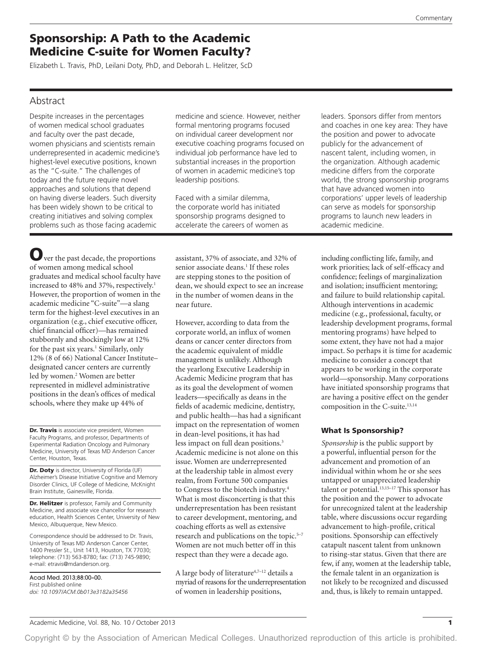# Sponsorship: A Path to the Academic Medicine C-suite for Women Faculty?

Elizabeth L. Travis, PhD, Leilani Doty, PhD, and Deborah L. Helitzer, ScD

## Abstract

Despite increases in the percentages of women medical school graduates and faculty over the past decade, women physicians and scientists remain underrepresented in academic medicine's highest-level executive positions, known as the "C-suite." The challenges of today and the future require novel approaches and solutions that depend on having diverse leaders. Such diversity has been widely shown to be critical to creating initiatives and solving complex problems such as those facing academic

medicine and science. However, neither formal mentoring programs focused on individual career development nor executive coaching programs focused on individual job performance have led to substantial increases in the proportion of women in academic medicine's top leadership positions.

Faced with a similar dilemma, the corporate world has initiated sponsorship programs designed to accelerate the careers of women as

ver the past decade, the proportions of women among medical school graduates and medical school faculty have increased to 48% and 37%, respectively.<sup>1</sup> However, the proportion of women in the academic medicine "C-suite"—a slang term for the highest-level executives in an organization (e.g., chief executive officer, chief financial officer)—has remained stubbornly and shockingly low at 12% for the past six years.<sup>1</sup> Similarly, only 12% (8 of 66) National Cancer Institute– designated cancer centers are currently led by women.<sup>2</sup> Women are better represented in midlevel administrative positions in the dean's offices of medical schools, where they make up 44% of

**Dr. Travis** is associate vice president, Women Faculty Programs, and professor, Departments of Experimental Radiation Oncology and Pulmonary Medicine, University of Texas MD Anderson Cancer Center, Houston, Texas.

Dr. Doty is director, University of Florida (UF) Alzheimer's Disease Initiative Cognitive and Memory Disorder Clinics, UF College of Medicine, McKnight Brain Institute, Gainesville, Florida.

Dr. Helitzer is professor, Family and Community Medicine, and associate vice chancellor for research education, Health Sciences Center, University of New Mexico, Albuquerque, New Mexico.

Correspondence should be addressed to Dr. Travis, University of Texas MD Anderson Cancer Center, 1400 Pressler St., Unit 1413, Houston, TX 77030; telephone: (713) 563-8780; fax: (713) 745-9890; e-mail: [etravis@mdanderson.org](mailto:etravis@mdanderson.org).

Acad Med. 2013;88:00–00. First published online *doi: 10.1097/ACM.0b013e3182a35456* assistant, 37% of associate, and 32% of senior associate deans.<sup>1</sup> If these roles are stepping stones to the position of dean, we should expect to see an increase in the number of women deans in the near future.

However, according to data from the corporate world, an influx of women deans or cancer center directors from the academic equivalent of middle management is unlikely. Although the yearlong Executive Leadership in Academic Medicine program that has as its goal the development of women leaders—specifically as deans in the fields of academic medicine, dentistry, and public health—has had a significant impact on the representation of women in dean-level positions, it has had less impact on full dean positions.<sup>3</sup> Academic medicine is not alone on this issue. Women are underrepresented at the leadership table in almost every realm, from Fortune 500 companies to Congress to the biotech industry.4 What is most disconcerting is that this underrepresentation has been resistant to career development, mentoring, and coaching efforts as well as extensive research and publications on the topic.<sup>5-7</sup> Women are not much better off in this respect than they were a decade ago.

A large body of literature<sup>4,7-12</sup> details a myriad of reasons for the underrepresentation of women in leadership positions,

leaders. Sponsors differ from mentors and coaches in one key area: They have the position and power to advocate publicly for the advancement of nascent talent, including women, in the organization. Although academic medicine differs from the corporate world, the strong sponsorship programs that have advanced women into corporations' upper levels of leadership can serve as models for sponsorship programs to launch new leaders in academic medicine.

including conflicting life, family, and work priorities; lack of self-efficacy and confidence; feelings of marginalization and isolation; insufficient mentoring; and failure to build relationship capital. Although interventions in academic medicine (e.g., professional, faculty, or leadership development programs, formal mentoring programs) have helped to some extent, they have not had a major impact. So perhaps it is time for academic medicine to consider a concept that appears to be working in the corporate world—sponsorship. Many corporations have initiated sponsorship programs that are having a positive effect on the gender composition in the C-suite.13,14

#### What Is Sponsorship?

*Sponsorship* is the public support by a powerful, influential person for the advancement and promotion of an individual within whom he or she sees untapped or unappreciated leadership talent or potential. $13,15-17$  This sponsor has the position and the power to advocate for unrecognized talent at the leadership table, where discussions occur regarding advancement to high-profile, critical positions. Sponsorship can effectively catapult nascent talent from unknown to rising-star status. Given that there are few, if any, women at the leadership table, the female talent in an organization is not likely to be recognized and discussed and, thus, is likely to remain untapped.

Copyright © by the Association of American Medical Colleges. Unauthorized reproduction of this article is prohibited.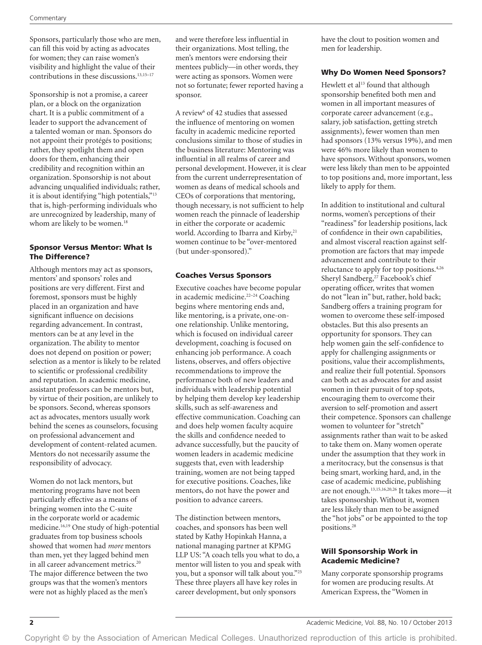Sponsors, particularly those who are men, can fill this void by acting as advocates for women; they can raise women's visibility and highlight the value of their contributions in these discussions.13,15–17

Sponsorship is not a promise, a career plan, or a block on the organization chart. It is a public commitment of a leader to support the advancement of a talented woman or man. Sponsors do not appoint their protégés to positions; rather, they spotlight them and open doors for them, enhancing their credibility and recognition within an organization. Sponsorship is not about advancing unqualified individuals; rather, it is about identifying "high potentials,"13 that is, high-performing individuals who are unrecognized by leadership, many of whom are likely to be women.<sup>18</sup>

#### Sponsor Versus Mentor: What Is The Difference?

Although mentors may act as sponsors, mentors' and sponsors' roles and positions are very different. First and foremost, sponsors must be highly placed in an organization and have significant influence on decisions regarding advancement. In contrast, mentors can be at any level in the organization. The ability to mentor does not depend on position or power; selection as a mentor is likely to be related to scientific or professional credibility and reputation. In academic medicine, assistant professors can be mentors but, by virtue of their position, are unlikely to be sponsors. Second, whereas sponsors act as advocates, mentors usually work behind the scenes as counselors, focusing on professional advancement and development of content-related acumen. Mentors do not necessarily assume the responsibility of advocacy.

Women do not lack mentors, but mentoring programs have not been particularly effective as a means of bringing women into the C-suite in the corporate world or academic medicine.16,19 One study of high-potential graduates from top business schools showed that women had *more* mentors than men, yet they lagged behind men in all career advancement metrics.<sup>20</sup> The major difference between the two groups was that the women's mentors were not as highly placed as the men's

and were therefore less influential in their organizations. Most telling, the men's mentors were endorsing their mentees publicly—in other words, they were acting as sponsors. Women were not so fortunate; fewer reported having a sponsor.

A review<sup>6</sup> of 42 studies that assessed the influence of mentoring on women faculty in academic medicine reported conclusions similar to those of studies in the business literature: Mentoring was influential in all realms of career and personal development. However, it is clear from the current underrepresentation of women as deans of medical schools and CEOs of corporations that mentoring, though necessary, is not sufficient to help women reach the pinnacle of leadership in either the corporate or academic world. According to Ibarra and Kirby,<sup>21</sup> women continue to be "over-mentored (but under-sponsored)."

## Coaches Versus Sponsors

Executive coaches have become popular in academic medicine.22–24 Coaching begins where mentoring ends and, like mentoring, is a private, one-onone relationship. Unlike mentoring, which is focused on individual career development, coaching is focused on enhancing job performance. A coach listens, observes, and offers objective recommendations to improve the performance both of new leaders and individuals with leadership potential by helping them develop key leadership skills, such as self-awareness and effective communication. Coaching can and does help women faculty acquire the skills and confidence needed to advance successfully, but the paucity of women leaders in academic medicine suggests that, even with leadership training, women are not being tapped for executive positions. Coaches, like mentors, do not have the power and position to advance careers.

The distinction between mentors, coaches, and sponsors has been well stated by Kathy Hopinkah Hanna, a national managing partner at KPMG LLP US: "A coach tells you what to do, a mentor will listen to you and speak with you, but a sponsor will talk about you."25 These three players all have key roles in career development, but only sponsors

have the clout to position women and men for leadership.

## Why Do Women Need Sponsors?

Hewlett et al<sup>13</sup> found that although sponsorship benefited both men and women in all important measures of corporate career advancement (e.g., salary, job satisfaction, getting stretch assignments), fewer women than men had sponsors (13% versus 19%), and men were 46% more likely than women to have sponsors. Without sponsors, women were less likely than men to be appointed to top positions and, more important, less likely to apply for them.

In addition to institutional and cultural norms, women's perceptions of their "readiness" for leadership positions, lack of confidence in their own capabilities, and almost visceral reaction against selfpromotion are factors that may impede advancement and contribute to their reluctance to apply for top positions.4,26 Sheryl Sandberg,<sup>27</sup> Facebook's chief operating officer, writes that women do not "lean in" but, rather, hold back; Sandberg offers a training program for women to overcome these self-imposed obstacles. But this also presents an opportunity for sponsors. They can help women gain the self-confidence to apply for challenging assignments or positions, value their accomplishments, and realize their full potential. Sponsors can both act as advocates for and assist women in their pursuit of top spots, encouraging them to overcome their aversion to self-promotion and assert their competence. Sponsors can challenge women to volunteer for "stretch" assignments rather than wait to be asked to take them on. Many women operate under the assumption that they work in a meritocracy, but the consensus is that being smart, working hard, and, in the case of academic medicine, publishing are not enough.13,15,16,20,26 It takes more—it takes sponsorship. Without it, women are less likely than men to be assigned the "hot jobs" or be appointed to the top positions.28

#### Will Sponsorship Work in Academic Medicine?

Many corporate sponsorship programs for women are producing results. At American Express, the "Women in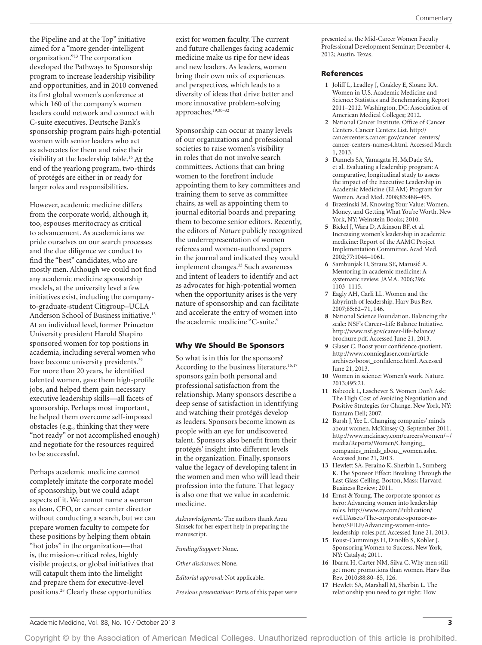the Pipeline and at the Top" initiative aimed for a "more gender-intelligent organization."13 The corporation developed the Pathways to Sponsorship program to increase leadership visibility and opportunities, and in 2010 convened its first global women's conference at which 160 of the company's women leaders could network and connect with C-suite executives. Deutsche Bank's sponsorship program pairs high-potential women with senior leaders who act as advocates for them and raise their visibility at the leadership table.16 At the end of the yearlong program, two-thirds of protégés are either in or ready for larger roles and responsibilities.

However, academic medicine differs from the corporate world, although it, too, espouses meritocracy as critical to advancement. As academicians we pride ourselves on our search processes and the due diligence we conduct to find the "best" candidates, who are mostly men. Although we could not find any academic medicine sponsorship models, at the university level a few initiatives exist, including the companyto-graduate-student Citigroup–UCLA Anderson School of Business initiative.13 At an individual level, former Princeton University president Harold Shapiro sponsored women for top positions in academia, including several women who have become university presidents.<sup>29</sup> For more than 20 years, he identified talented women, gave them high-profile jobs, and helped them gain necessary executive leadership skills—all facets of sponsorship. Perhaps most important, he helped them overcome self-imposed obstacles (e.g., thinking that they were "not ready" or not accomplished enough) and negotiate for the resources required to be successful.

Perhaps academic medicine cannot completely imitate the corporate model of sponsorship, but we could adapt aspects of it. We cannot name a woman as dean, CEO, or cancer center director without conducting a search, but we can prepare women faculty to compete for these positions by helping them obtain "hot jobs" in the organization—that is, the mission-critical roles, highly visible projects, or global initiatives that will catapult them into the limelight and prepare them for executive-level positions.28 Clearly these opportunities

exist for women faculty. The current and future challenges facing academic medicine make us ripe for new ideas and new leaders. As leaders, women bring their own mix of experiences and perspectives, which leads to a diversity of ideas that drive better and more innovative problem-solving approaches.19,30–32

Sponsorship can occur at many levels of our organizations and professional societies to raise women's visibility in roles that do not involve search committees. Actions that can bring women to the forefront include appointing them to key committees and training them to serve as committee chairs, as well as appointing them to journal editorial boards and preparing them to become senior editors. Recently, the editors of *Nature* publicly recognized the underrepresentation of women referees and women-authored papers in the journal and indicated they would implement changes.<sup>33</sup> Such awareness and intent of leaders to identify and act as advocates for high-potential women when the opportunity arises is the very nature of sponsorship and can facilitate and accelerate the entry of women into the academic medicine "C-suite."

#### Why We Should Be Sponsors

So what is in this for the sponsors? According to the business literature,<sup>15,17</sup> sponsors gain both personal and professional satisfaction from the relationship. Many sponsors describe a deep sense of satisfaction in identifying and watching their protégés develop as leaders. Sponsors become known as people with an eye for undiscovered talent. Sponsors also benefit from their protégés' insight into different levels in the organization. Finally, sponsors value the legacy of developing talent in the women and men who will lead their profession into the future. That legacy is also one that we value in academic medicine.

*Acknowledgments:* The authors thank Arzu Simsek for her expert help in preparing the manuscript.

*Funding/Support:* None.

*Other disclosures:* None.

*Editorial approval:* Not applicable.

*Previous presentations:* Parts of this paper were

presented at the Mid-Career Women Faculty Professional Development Seminar; December 4, 2012; Austin, Texas.

#### References

- **1** Joliff L, Leadley J, Coakley E, Sloane RA. Women in U.S. Academic Medicine and Science: Statistics and Benchmarking Report 2011–2012. Washington, DC: Association of American Medical Colleges; 2012.
- **2** National Cancer Institute. Office of Cancer Centers. Cancer Centers List. [http://](http://cancercenters.cancer.gov/cancer_centers/cancer-centers-names4.html) [cancercenters.cancer.gov/cancer\\_centers/](http://cancercenters.cancer.gov/cancer_centers/cancer-centers-names4.html) [cancer-centers-names4.html](http://cancercenters.cancer.gov/cancer_centers/cancer-centers-names4.html). Accessed March 1, 2013.
- **3** Dannels SA, Yamagata H, McDade SA, et al. Evaluating a leadership program: A comparative, longitudinal study to assess the impact of the Executive Leadership in Academic Medicine (ELAM) Program for Women. Acad Med. 2008;83:488–495.
- **4** Brzezinski M. Knowing Your Value: Women, Money, and Getting What You're Worth. New York, NY: Weinstein Books; 2010.
- **5** Bickel J, Wara D, Atkinson BF, et al. Increasing women's leadership in academic medicine: Report of the AAMC Project Implementation Committee. Acad Med. 2002;77:1044–1061.
- **6** Sambunjak D, Straus SE, Marusić A. Mentoring in academic medicine: A systematic review. JAMA. 2006;296: 1103–1115.
- **7** Eagly AH, Carli LL. Women and the labyrinth of leadership. Harv Bus Rev. 2007;85:62–71, 146.
- **8** National Science Foundation. Balancing the scale: NSF's Career–Life Balance Initiative. [http://www.nsf.gov/career-life-balance/](http://www.nsf.gov/career-life-balance/brochure.pdf) [brochure.pdf](http://www.nsf.gov/career-life-balance/brochure.pdf). Accessed June 21, 2013.
- **9** Glaser C. Boost your confidence quotient. [http://www.connieglaser.com/article](http://www.connieglaser.com/article-archives/boost_confidence.html)[archives/boost\\_confidence.html](http://www.connieglaser.com/article-archives/boost_confidence.html). Accessed June 21, 2013.
- **10** Women in science: Women's work. Nature. 2013;495:21.
- **11** Babcock L, Laschever S. Women Don't Ask: The High Cost of Avoiding Negotiation and Positive Strategies for Change. New York, NY: Bantam Dell; 2007.
- **12** Barsh J, Yee L. Changing companies' minds about women. McKinsey Q. September 2011. [http://www.mckinsey.com/careers/women/~/](http://www.mckinsey.com/careers/women/~/media/Reports/Women/Changing_companies_minds_about_women.ashx) [media/Reports/Women/Changing\\_](http://www.mckinsey.com/careers/women/~/media/Reports/Women/Changing_companies_minds_about_women.ashx) [companies\\_minds\\_about\\_women.ashx.](http://www.mckinsey.com/careers/women/~/media/Reports/Women/Changing_companies_minds_about_women.ashx) Accessed June 21, 2013.
- **13** Hewlett SA, Peraino K, Sherbin L, Sumberg K. The Sponsor Effect: Breaking Through the Last Glass Ceiling. Boston, Mass: Harvard Business Review; 2011.
- **14** Ernst & Young. The corporate sponsor as hero: Advancing women into leadership roles. [http://www.ey.com/Publication/](http://www.ey.com/Publication/vwLUAssets/The-corporate-sponsor-as-hero/$FILE/Advancing-women-into-leadership-roles.pdf) [vwLUAssets/The-corporate-sponsor-as](http://www.ey.com/Publication/vwLUAssets/The-corporate-sponsor-as-hero/$FILE/Advancing-women-into-leadership-roles.pdf)[hero/\\$FILE/Advancing-women-into](http://www.ey.com/Publication/vwLUAssets/The-corporate-sponsor-as-hero/$FILE/Advancing-women-into-leadership-roles.pdf)[leadership-roles.pdf](http://www.ey.com/Publication/vwLUAssets/The-corporate-sponsor-as-hero/$FILE/Advancing-women-into-leadership-roles.pdf). Accessed June 21, 2013.
- **15** Foust-Cummings H, Dinolfo S, Kohler J. Sponsoring Women to Success. New York, NY: Catalyst; 2011.
- **16** Ibarra H, Carter NM, Silva C. Why men still get more promotions than women. Harv Bus Rev. 2010;88:80–85, 126.
- **17** Hewlett SA, Marshall M, Sherbin L. The relationship you need to get right: How

Copyright © by the Association of American Medical Colleges. Unauthorized reproduction of this article is prohibited.